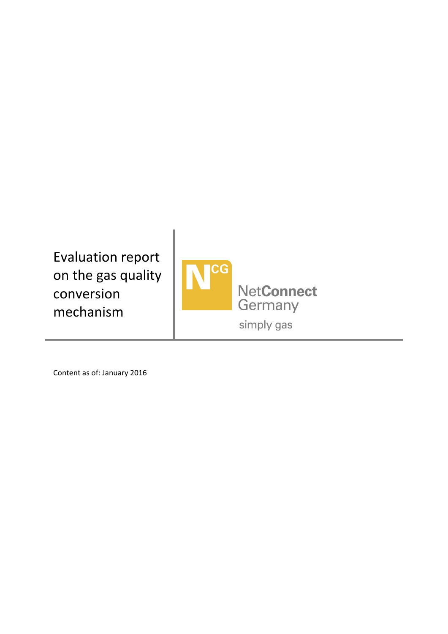Evaluation report on the gas quality conversion mechanism



Content as of: January 2016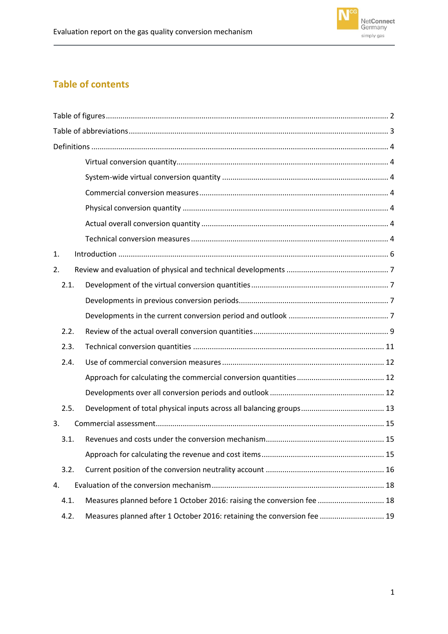

# **Table of contents**

| 1.   |                                                                         |  |  |  |  |
|------|-------------------------------------------------------------------------|--|--|--|--|
| 2.   |                                                                         |  |  |  |  |
| 2.1. |                                                                         |  |  |  |  |
|      |                                                                         |  |  |  |  |
|      |                                                                         |  |  |  |  |
| 2.2. |                                                                         |  |  |  |  |
| 2.3. |                                                                         |  |  |  |  |
| 2.4. |                                                                         |  |  |  |  |
|      |                                                                         |  |  |  |  |
|      |                                                                         |  |  |  |  |
| 2.5. |                                                                         |  |  |  |  |
| 3.   |                                                                         |  |  |  |  |
| 3.1. |                                                                         |  |  |  |  |
|      |                                                                         |  |  |  |  |
| 3.2. |                                                                         |  |  |  |  |
| 4.   |                                                                         |  |  |  |  |
| 4.1. | Measures planned before 1 October 2016: raising the conversion fee  18  |  |  |  |  |
| 4.2. | Measures planned after 1 October 2016: retaining the conversion fee  19 |  |  |  |  |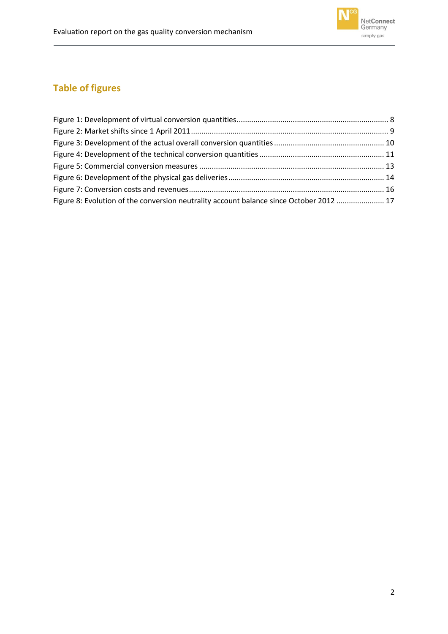

# <span id="page-2-0"></span>**Table of figures**

| Figure 8: Evolution of the conversion neutrality account balance since October 2012  17 |  |
|-----------------------------------------------------------------------------------------|--|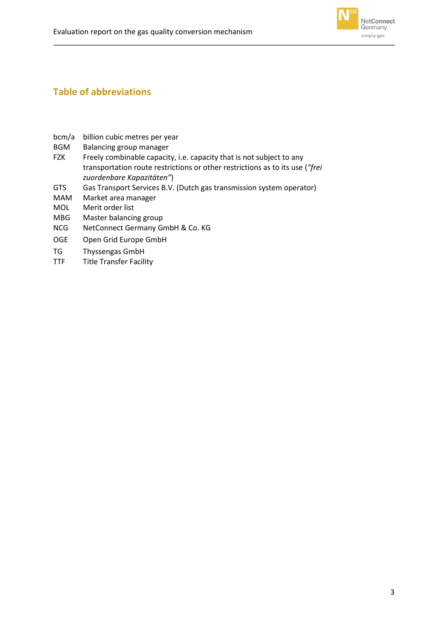

## <span id="page-3-0"></span>**Table of abbreviations**

- bcm/a billion cubic metres per year
- BGM Balancing group manager
- FZK Freely combinable capacity, i.e. capacity that is not subject to any transportation route restrictions or other restrictions as to its use (*"frei zuordenbare Kapazitäten"*)
- GTS Gas Transport Services B.V. (Dutch gas transmission system operator)
- MAM Market area manager
- MOL Merit order list
- MBG Master balancing group
- NCG NetConnect Germany GmbH & Co. KG
- OGE Open Grid Europe GmbH
- TG Thyssengas GmbH
- TTF Title Transfer Facility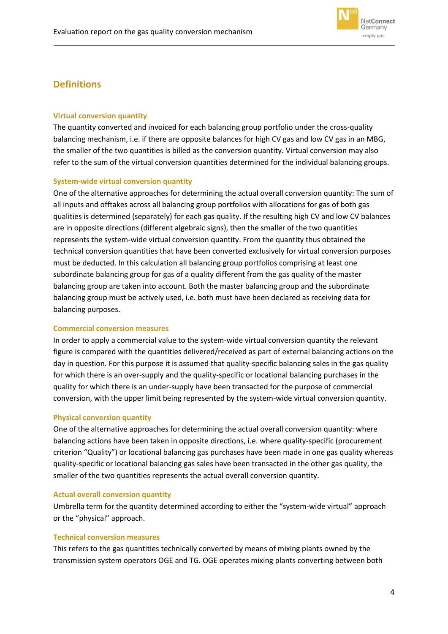

## <span id="page-4-0"></span>**Definitions**

### <span id="page-4-1"></span>**Virtual conversion quantity**

The quantity converted and invoiced for each balancing group portfolio under the cross-quality balancing mechanism, i.e. if there are opposite balances for high CV gas and low CV gas in an MBG, the smaller of the two quantities is billed as the conversion quantity. Virtual conversion may also refer to the sum of the virtual conversion quantities determined for the individual balancing groups.

#### <span id="page-4-2"></span>**System-wide virtual conversion quantity**

One of the alternative approaches for determining the actual overall conversion quantity: The sum of all inputs and offtakes across all balancing group portfolios with allocations for gas of both gas qualities is determined (separately) for each gas quality. If the resulting high CV and low CV balances are in opposite directions (different algebraic signs), then the smaller of the two quantities represents the system-wide virtual conversion quantity. From the quantity thus obtained the technical conversion quantities that have been converted exclusively for virtual conversion purposes must be deducted. In this calculation all balancing group portfolios comprising at least one subordinate balancing group for gas of a quality different from the gas quality of the master balancing group are taken into account. Both the master balancing group and the subordinate balancing group must be actively used, i.e. both must have been declared as receiving data for balancing purposes.

#### <span id="page-4-3"></span>**Commercial conversion measures**

In order to apply a commercial value to the system-wide virtual conversion quantity the relevant figure is compared with the quantities delivered/received as part of external balancing actions on the day in question. For this purpose it is assumed that quality-specific balancing sales in the gas quality for which there is an over-supply and the quality-specific or locational balancing purchases in the quality for which there is an under-supply have been transacted for the purpose of commercial conversion, with the upper limit being represented by the system-wide virtual conversion quantity.

#### <span id="page-4-4"></span>**Physical conversion quantity**

One of the alternative approaches for determining the actual overall conversion quantity: where balancing actions have been taken in opposite directions, i.e. where quality-specific (procurement criterion "Quality") or locational balancing gas purchases have been made in one gas quality whereas quality-specific or locational balancing gas sales have been transacted in the other gas quality, the smaller of the two quantities represents the actual overall conversion quantity.

### <span id="page-4-5"></span>**Actual overall conversion quantity**

Umbrella term for the quantity determined according to either the "system-wide virtual" approach or the "physical" approach.

#### <span id="page-4-6"></span>**Technical conversion measures**

This refers to the gas quantities technically converted by means of mixing plants owned by the transmission system operators OGE and TG. OGE operates mixing plants converting between both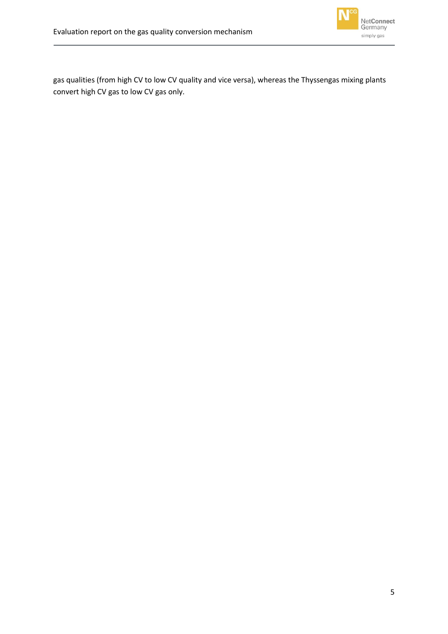

gas qualities (from high CV to low CV quality and vice versa), whereas the Thyssengas mixing plants convert high CV gas to low CV gas only.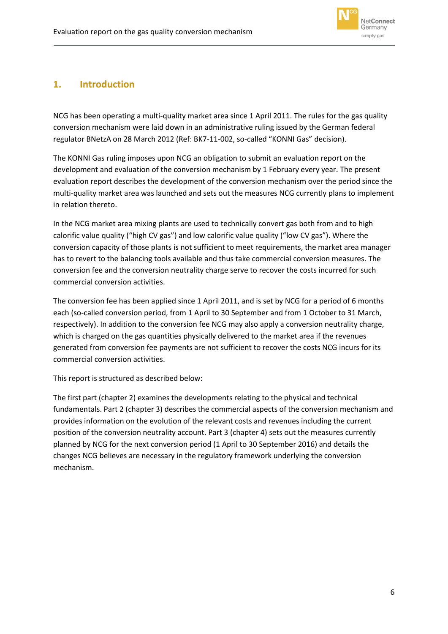

## <span id="page-6-0"></span>**1. Introduction**

NCG has been operating a multi-quality market area since 1 April 2011. The rules for the gas quality conversion mechanism were laid down in an administrative ruling issued by the German federal regulator BNetzA on 28 March 2012 (Ref: BK7-11-002, so-called "KONNI Gas" decision).

The KONNI Gas ruling imposes upon NCG an obligation to submit an evaluation report on the development and evaluation of the conversion mechanism by 1 February every year. The present evaluation report describes the development of the conversion mechanism over the period since the multi-quality market area was launched and sets out the measures NCG currently plans to implement in relation thereto.

In the NCG market area mixing plants are used to technically convert gas both from and to high calorific value quality ("high CV gas") and low calorific value quality ("low CV gas"). Where the conversion capacity of those plants is not sufficient to meet requirements, the market area manager has to revert to the balancing tools available and thus take commercial conversion measures. The conversion fee and the conversion neutrality charge serve to recover the costs incurred for such commercial conversion activities.

The conversion fee has been applied since 1 April 2011, and is set by NCG for a period of 6 months each (so-called conversion period, from 1 April to 30 September and from 1 October to 31 March, respectively). In addition to the conversion fee NCG may also apply a conversion neutrality charge, which is charged on the gas quantities physically delivered to the market area if the revenues generated from conversion fee payments are not sufficient to recover the costs NCG incurs for its commercial conversion activities.

This report is structured as described below:

The first part (chapte[r 2\)](#page-7-0) examines the developments relating to the physical and technical fundamentals. Part 2 (chapter [3\)](#page-15-0) describes the commercial aspects of the conversion mechanism and provides information on the evolution of the relevant costs and revenues including the current position of the conversion neutrality account. Part 3 (chapter [4\)](#page-18-0) sets out the measures currently planned by NCG for the next conversion period (1 April to 30 September 2016) and details the changes NCG believes are necessary in the regulatory framework underlying the conversion mechanism.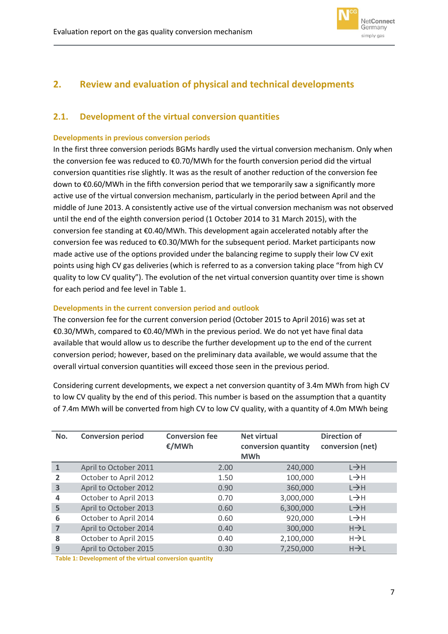

# <span id="page-7-0"></span>**2. Review and evaluation of physical and technical developments**

## <span id="page-7-1"></span>**2.1. Development of the virtual conversion quantities**

#### <span id="page-7-2"></span>**Developments in previous conversion periods**

In the first three conversion periods BGMs hardly used the virtual conversion mechanism. Only when the conversion fee was reduced to €0.70/MWh for the fourth conversion period did the virtual conversion quantities rise slightly. It was as the result of another reduction of the conversion fee down to €0.60/MWh in the fifth conversion period that we temporarily saw a significantly more active use of the virtual conversion mechanism, particularly in the period between April and the middle of June 2013. A consistently active use of the virtual conversion mechanism was not observed until the end of the eighth conversion period (1 October 2014 to 31 March 2015), with the conversion fee standing at €0.40/MWh. This development again accelerated notably after the conversion fee was reduced to €0.30/MWh for the subsequent period. Market participants now made active use of the options provided under the balancing regime to supply their low CV exit points using high CV gas deliveries (which is referred to as a conversion taking place "from high CV quality to low CV quality"). The evolution of the net virtual conversion quantity over time is shown for each period and fee level in [Table 1.](#page-7-4)

### <span id="page-7-3"></span>**Developments in the current conversion period and outlook**

The conversion fee for the current conversion period (October 2015 to April 2016) was set at €0.30/MWh, compared to €0.40/MWh in the previous period. We do not yet have final data available that would allow us to describe the further development up to the end of the current conversion period; however, based on the preliminary data available, we would assume that the overall virtual conversion quantities will exceed those seen in the previous period.

Considering current developments, we expect a net conversion quantity of 3.4m MWh from high CV to low CV quality by the end of this period. This number is based on the assumption that a quantity of 7.4m MWh will be converted from high CV to low CV quality, with a quantity of 4.0m MWh being

| No.            | <b>Conversion period</b> | <b>Conversion fee</b><br>€/MWh | <b>Net virtual</b><br>conversion quantity<br><b>MWh</b> | <b>Direction of</b><br>conversion (net) |
|----------------|--------------------------|--------------------------------|---------------------------------------------------------|-----------------------------------------|
|                | April to October 2011    | 2.00                           | 240,000                                                 | L→H                                     |
| $\overline{2}$ | October to April 2012    | 1.50                           | 100,000                                                 | $L \rightarrow H$                       |
| 3              | April to October 2012    | 0.90                           | 360,000                                                 | $L \rightarrow H$                       |
| 4              | October to April 2013    | 0.70                           | 3,000,000                                               | L→H                                     |
| 5              | April to October 2013    | 0.60                           | 6,300,000                                               | $L \rightarrow H$                       |
| 6              | October to April 2014    | 0.60                           | 920,000                                                 | $L \rightarrow H$                       |
| 7              | April to October 2014    | 0.40                           | 300,000                                                 | $H\rightarrow L$                        |
| 8              | October to April 2015    | 0.40                           | 2,100,000                                               | $H\rightarrow L$                        |
| 9              | April to October 2015    | 0.30                           | 7,250,000                                               | $H\rightarrow L$                        |

<span id="page-7-4"></span>**Table 1: Development of the virtual conversion quantity**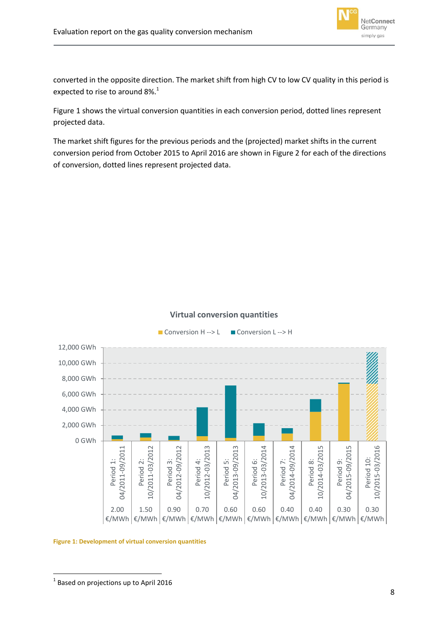

converted in the opposite direction. The market shift from high CV to low CV quality in this period is expected to rise to around  $8\%$ <sup>1</sup>

[Figure 1](#page-8-0) shows the virtual conversion quantities in each conversion period, dotted lines represent projected data.

The market shift figures for the previous periods and the (projected) market shifts in the current conversion period from October 2015 to April 2016 are shown in [Figure 2](#page-9-1) for each of the directions of conversion, dotted lines represent projected data.

### **Virtual conversion quantities**



<span id="page-8-0"></span>**Figure 1: Development of virtual conversion quantities**

**<sup>.</sup>**  $<sup>1</sup>$  Based on projections up to April 2016</sup>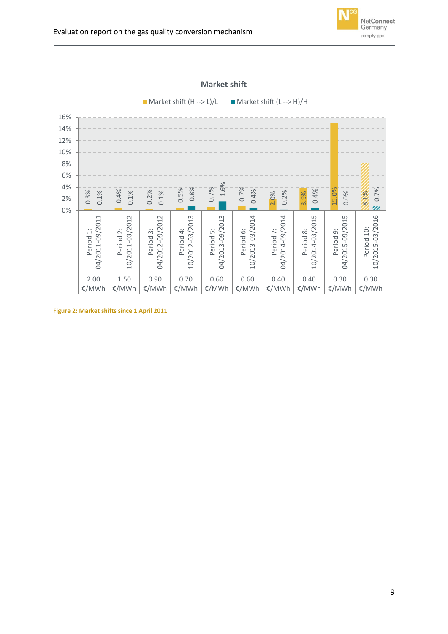

#### **Market shift**

 $\blacksquare$  Market shift (H --> L)/L  $\blacksquare$  Market shift (L --> H)/H

<span id="page-9-0"></span>

<span id="page-9-1"></span>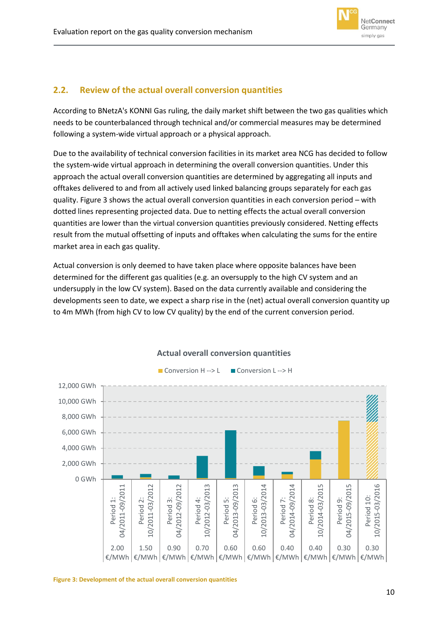

## **2.2. Review of the actual overall conversion quantities**

According to BNetzA's KONNI Gas ruling, the daily market shift between the two gas qualities which needs to be counterbalanced through technical and/or commercial measures may be determined following a system-wide virtual approach or a physical approach.

Due to the availability of technical conversion facilities in its market area NCG has decided to follow the system-wide virtual approach in determining the overall conversion quantities. Under this approach the actual overall conversion quantities are determined by aggregating all inputs and offtakes delivered to and from all actively used linked balancing groups separately for each gas quality[. Figure 3](#page-10-0) shows the actual overall conversion quantities in each conversion period – with dotted lines representing projected data. Due to netting effects the actual overall conversion quantities are lower than the virtual conversion quantities previously considered. Netting effects result from the mutual offsetting of inputs and offtakes when calculating the sums for the entire market area in each gas quality.

Actual conversion is only deemed to have taken place where opposite balances have been determined for the different gas qualities (e.g. an oversupply to the high CV system and an undersupply in the low CV system). Based on the data currently available and considering the developments seen to date, we expect a sharp rise in the (net) actual overall conversion quantity up to 4m MWh (from high CV to low CV quality) by the end of the current conversion period.



### **Actual overall conversion quantities**

<span id="page-10-0"></span>**Figure 3: Development of the actual overall conversion quantities**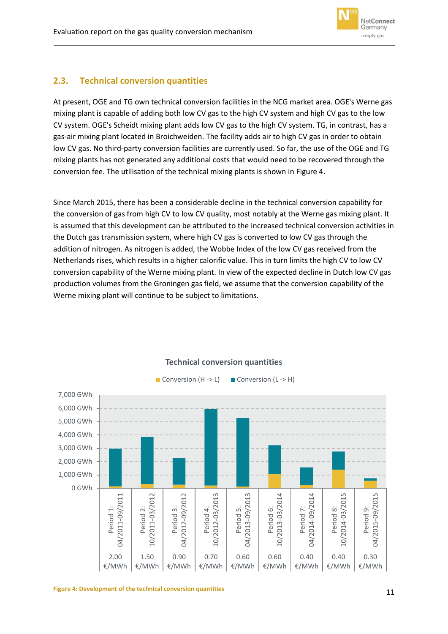

## <span id="page-11-0"></span>**2.3. Technical conversion quantities**

At present, OGE and TG own technical conversion facilities in the NCG market area. OGE's Werne gas mixing plant is capable of adding both low CV gas to the high CV system and high CV gas to the low CV system. OGE's Scheidt mixing plant adds low CV gas to the high CV system. TG, in contrast, has a gas-air mixing plant located in Broichweiden. The facility adds air to high CV gas in order to obtain low CV gas. No third-party conversion facilities are currently used. So far, the use of the OGE and TG mixing plants has not generated any additional costs that would need to be recovered through the conversion fee. The utilisation of the technical mixing plants is shown in [Figure 4.](#page-11-1)

Since March 2015, there has been a considerable decline in the technical conversion capability for the conversion of gas from high CV to low CV quality, most notably at the Werne gas mixing plant. It is assumed that this development can be attributed to the increased technical conversion activities in the Dutch gas transmission system, where high CV gas is converted to low CV gas through the addition of nitrogen. As nitrogen is added, the Wobbe Index of the low CV gas received from the Netherlands rises, which results in a higher calorific value. This in turn limits the high CV to low CV conversion capability of the Werne mixing plant. In view of the expected decline in Dutch low CV gas production volumes from the Groningen gas field, we assume that the conversion capability of the Werne mixing plant will continue to be subject to limitations.

<span id="page-11-1"></span>

## **Technical conversion quantities**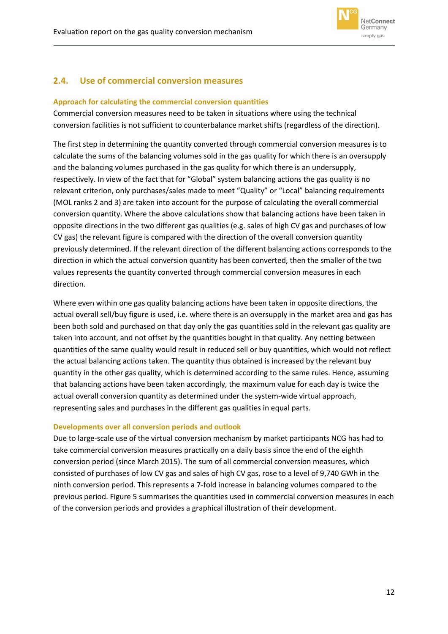

## <span id="page-12-0"></span>**2.4. Use of commercial conversion measures**

### <span id="page-12-1"></span>**Approach for calculating the commercial conversion quantities**

Commercial conversion measures need to be taken in situations where using the technical conversion facilities is not sufficient to counterbalance market shifts (regardless of the direction).

The first step in determining the quantity converted through commercial conversion measures is to calculate the sums of the balancing volumes sold in the gas quality for which there is an oversupply and the balancing volumes purchased in the gas quality for which there is an undersupply, respectively. In view of the fact that for "Global" system balancing actions the gas quality is no relevant criterion, only purchases/sales made to meet "Quality" or "Local" balancing requirements (MOL ranks 2 and 3) are taken into account for the purpose of calculating the overall commercial conversion quantity. Where the above calculations show that balancing actions have been taken in opposite directions in the two different gas qualities (e.g. sales of high CV gas and purchases of low CV gas) the relevant figure is compared with the direction of the overall conversion quantity previously determined. If the relevant direction of the different balancing actions corresponds to the direction in which the actual conversion quantity has been converted, then the smaller of the two values represents the quantity converted through commercial conversion measures in each direction.

Where even within one gas quality balancing actions have been taken in opposite directions, the actual overall sell/buy figure is used, i.e. where there is an oversupply in the market area and gas has been both sold and purchased on that day only the gas quantities sold in the relevant gas quality are taken into account, and not offset by the quantities bought in that quality. Any netting between quantities of the same quality would result in reduced sell or buy quantities, which would not reflect the actual balancing actions taken. The quantity thus obtained is increased by the relevant buy quantity in the other gas quality, which is determined according to the same rules. Hence, assuming that balancing actions have been taken accordingly, the maximum value for each day is twice the actual overall conversion quantity as determined under the system-wide virtual approach, representing sales and purchases in the different gas qualities in equal parts.

#### <span id="page-12-2"></span>**Developments over all conversion periods and outlook**

Due to large-scale use of the virtual conversion mechanism by market participants NCG has had to take commercial conversion measures practically on a daily basis since the end of the eighth conversion period (since March 2015). The sum of all commercial conversion measures, which consisted of purchases of low CV gas and sales of high CV gas, rose to a level of 9,740 GWh in the ninth conversion period. This represents a 7-fold increase in balancing volumes compared to the previous period. [Figure 5](#page-13-1) summarises the quantities used in commercial conversion measures in each of the conversion periods and provides a graphical illustration of their development.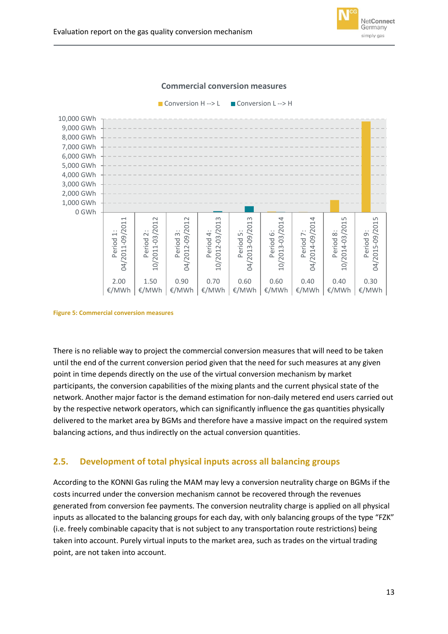



■ Conversion H --> L ■ Conversion L --> H



<span id="page-13-1"></span>**Figure 5: Commercial conversion measures**

There is no reliable way to project the commercial conversion measures that will need to be taken until the end of the current conversion period given that the need for such measures at any given point in time depends directly on the use of the virtual conversion mechanism by market participants, the conversion capabilities of the mixing plants and the current physical state of the network. Another major factor is the demand estimation for non-daily metered end users carried out by the respective network operators, which can significantly influence the gas quantities physically delivered to the market area by BGMs and therefore have a massive impact on the required system balancing actions, and thus indirectly on the actual conversion quantities.

## <span id="page-13-0"></span>**2.5. Development of total physical inputs across all balancing groups**

According to the KONNI Gas ruling the MAM may levy a conversion neutrality charge on BGMs if the costs incurred under the conversion mechanism cannot be recovered through the revenues generated from conversion fee payments. The conversion neutrality charge is applied on all physical inputs as allocated to the balancing groups for each day, with only balancing groups of the type "FZK" (i.e. freely combinable capacity that is not subject to any transportation route restrictions) being taken into account. Purely virtual inputs to the market area, such as trades on the virtual trading point, are not taken into account.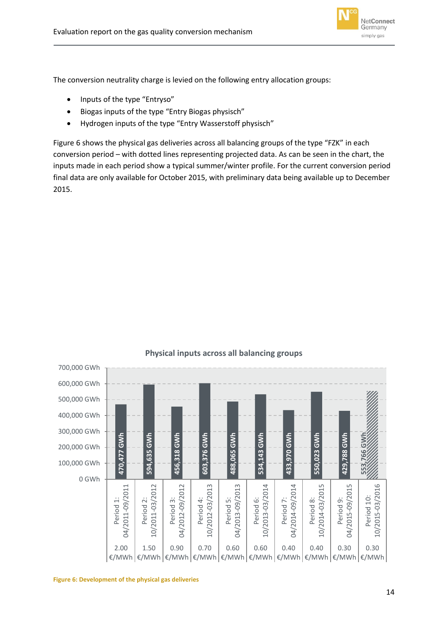

The conversion neutrality charge is levied on the following entry allocation groups:

- Inputs of the type "Entryso"
- Biogas inputs of the type "Entry Biogas physisch"
- Hydrogen inputs of the type "Entry Wasserstoff physisch"

[Figure 6](#page-14-0) shows the physical gas deliveries across all balancing groups of the type "FZK" in each conversion period – with dotted lines representing projected data. As can be seen in the chart, the inputs made in each period show a typical summer/winter profile. For the current conversion period final data are only available for October 2015, with preliminary data being available up to December 2015.



### **Physical inputs across all balancing groups**

<span id="page-14-0"></span>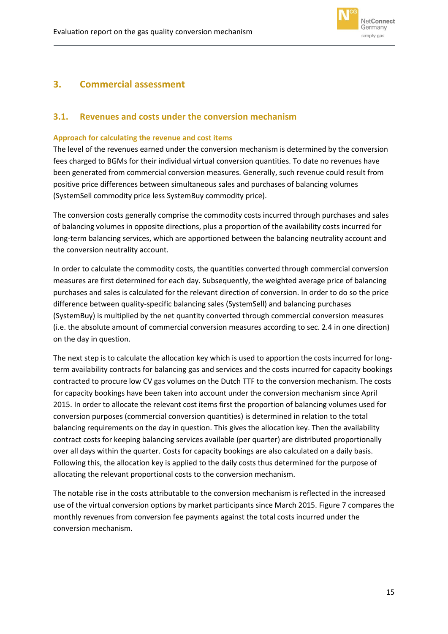

## <span id="page-15-0"></span>**3. Commercial assessment**

### <span id="page-15-1"></span>**3.1. Revenues and costs under the conversion mechanism**

#### <span id="page-15-2"></span>**Approach for calculating the revenue and cost items**

The level of the revenues earned under the conversion mechanism is determined by the conversion fees charged to BGMs for their individual virtual conversion quantities. To date no revenues have been generated from commercial conversion measures. Generally, such revenue could result from positive price differences between simultaneous sales and purchases of balancing volumes (SystemSell commodity price less SystemBuy commodity price).

The conversion costs generally comprise the commodity costs incurred through purchases and sales of balancing volumes in opposite directions, plus a proportion of the availability costs incurred for long-term balancing services, which are apportioned between the balancing neutrality account and the conversion neutrality account.

In order to calculate the commodity costs, the quantities converted through commercial conversion measures are first determined for each day. Subsequently, the weighted average price of balancing purchases and sales is calculated for the relevant direction of conversion. In order to do so the price difference between quality-specific balancing sales (SystemSell) and balancing purchases (SystemBuy) is multiplied by the net quantity converted through commercial conversion measures (i.e. the absolute amount of commercial conversion measures according to sec[. 2.4](#page-12-0) in one direction) on the day in question.

The next step is to calculate the allocation key which is used to apportion the costs incurred for longterm availability contracts for balancing gas and services and the costs incurred for capacity bookings contracted to procure low CV gas volumes on the Dutch TTF to the conversion mechanism. The costs for capacity bookings have been taken into account under the conversion mechanism since April 2015. In order to allocate the relevant cost items first the proportion of balancing volumes used for conversion purposes (commercial conversion quantities) is determined in relation to the total balancing requirements on the day in question. This gives the allocation key. Then the availability contract costs for keeping balancing services available (per quarter) are distributed proportionally over all days within the quarter. Costs for capacity bookings are also calculated on a daily basis. Following this, the allocation key is applied to the daily costs thus determined for the purpose of allocating the relevant proportional costs to the conversion mechanism.

The notable rise in the costs attributable to the conversion mechanism is reflected in the increased use of the virtual conversion options by market participants since March 2015. [Figure 7](#page-16-1) compares the monthly revenues from conversion fee payments against the total costs incurred under the conversion mechanism.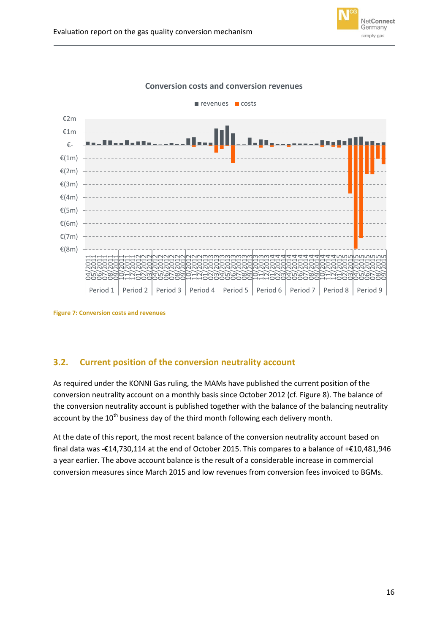



#### **Conversion costs and conversion revenues**

<span id="page-16-1"></span>**Figure 7: Conversion costs and revenues**

## <span id="page-16-0"></span>**3.2. Current position of the conversion neutrality account**

As required under the KONNI Gas ruling, the MAMs have published the current position of the conversion neutrality account on a monthly basis since October 2012 (cf. [Figure 8\)](#page-17-0). The balance of the conversion neutrality account is published together with the balance of the balancing neutrality account by the 10<sup>th</sup> business day of the third month following each delivery month.

At the date of this report, the most recent balance of the conversion neutrality account based on final data was -€14,730,114 at the end of October 2015. This compares to a balance of +€10,481,946 a year earlier. The above account balance is the result of a considerable increase in commercial conversion measures since March 2015 and low revenues from conversion fees invoiced to BGMs.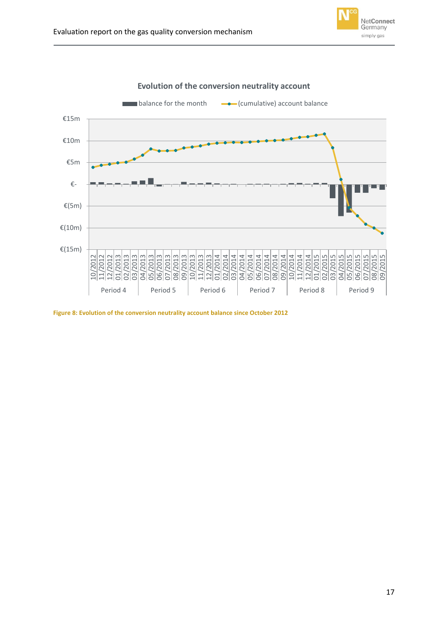



**Evolution of the conversion neutrality account**

<span id="page-17-0"></span>**Figure 8: Evolution of the conversion neutrality account balance since October 2012**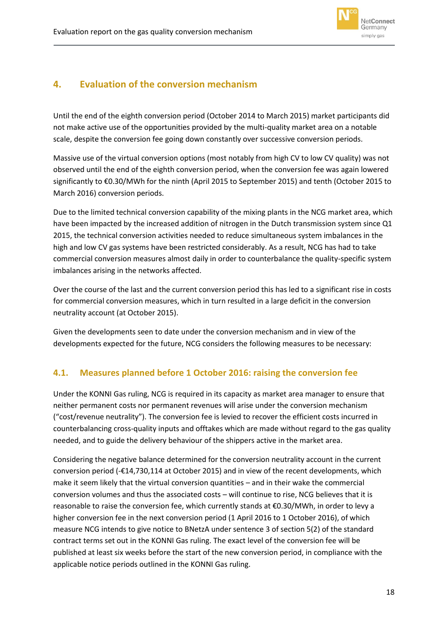

## <span id="page-18-0"></span>**4. Evaluation of the conversion mechanism**

Until the end of the eighth conversion period (October 2014 to March 2015) market participants did not make active use of the opportunities provided by the multi-quality market area on a notable scale, despite the conversion fee going down constantly over successive conversion periods.

Massive use of the virtual conversion options (most notably from high CV to low CV quality) was not observed until the end of the eighth conversion period, when the conversion fee was again lowered significantly to €0.30/MWh for the ninth (April 2015 to September 2015) and tenth (October 2015 to March 2016) conversion periods.

Due to the limited technical conversion capability of the mixing plants in the NCG market area, which have been impacted by the increased addition of nitrogen in the Dutch transmission system since Q1 2015, the technical conversion activities needed to reduce simultaneous system imbalances in the high and low CV gas systems have been restricted considerably. As a result, NCG has had to take commercial conversion measures almost daily in order to counterbalance the quality-specific system imbalances arising in the networks affected.

Over the course of the last and the current conversion period this has led to a significant rise in costs for commercial conversion measures, which in turn resulted in a large deficit in the conversion neutrality account (at October 2015).

Given the developments seen to date under the conversion mechanism and in view of the developments expected for the future, NCG considers the following measures to be necessary:

## <span id="page-18-1"></span>**4.1. Measures planned before 1 October 2016: raising the conversion fee**

Under the KONNI Gas ruling, NCG is required in its capacity as market area manager to ensure that neither permanent costs nor permanent revenues will arise under the conversion mechanism ("cost/revenue neutrality"). The conversion fee is levied to recover the efficient costs incurred in counterbalancing cross-quality inputs and offtakes which are made without regard to the gas quality needed, and to guide the delivery behaviour of the shippers active in the market area.

Considering the negative balance determined for the conversion neutrality account in the current conversion period (-€14,730,114 at October 2015) and in view of the recent developments, which make it seem likely that the virtual conversion quantities – and in their wake the commercial conversion volumes and thus the associated costs – will continue to rise, NCG believes that it is reasonable to raise the conversion fee, which currently stands at €0.30/MWh, in order to levy a higher conversion fee in the next conversion period (1 April 2016 to 1 October 2016), of which measure NCG intends to give notice to BNetzA under sentence 3 of section 5(2) of the standard contract terms set out in the KONNI Gas ruling. The exact level of the conversion fee will be published at least six weeks before the start of the new conversion period, in compliance with the applicable notice periods outlined in the KONNI Gas ruling.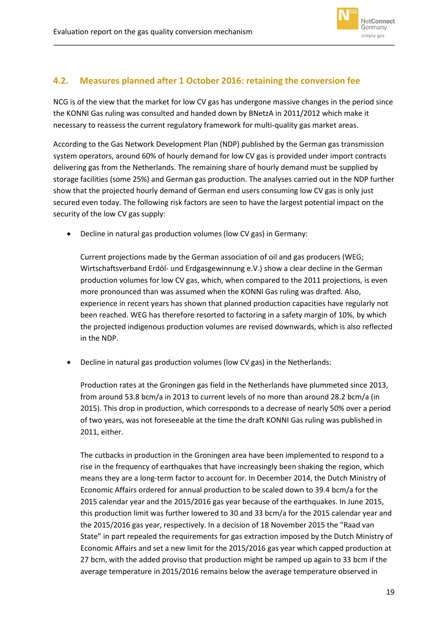

## <span id="page-19-0"></span>**4.2. Measures planned after 1 October 2016: retaining the conversion fee**

NCG is of the view that the market for low CV gas has undergone massive changes in the period since the KONNI Gas ruling was consulted and handed down by BNetzA in 2011/2012 which make it necessary to reassess the current regulatory framework for multi-quality gas market areas.

According to the Gas Network Development Plan (NDP) published by the German gas transmission system operators, around 60% of hourly demand for low CV gas is provided under import contracts delivering gas from the Netherlands. The remaining share of hourly demand must be supplied by storage facilities (some 25%) and German gas production. The analyses carried out in the NDP further show that the projected hourly demand of German end users consuming low CV gas is only just secured even today. The following risk factors are seen to have the largest potential impact on the security of the low CV gas supply:

Decline in natural gas production volumes (low CV gas) in Germany:

Current projections made by the German association of oil and gas producers (WEG; Wirtschaftsverband Erdöl- und Erdgasgewinnung e.V.) show a clear decline in the German production volumes for low CV gas, which, when compared to the 2011 projections, is even more pronounced than was assumed when the KONNI Gas ruling was drafted. Also, experience in recent years has shown that planned production capacities have regularly not been reached. WEG has therefore resorted to factoring in a safety margin of 10%, by which the projected indigenous production volumes are revised downwards, which is also reflected in the NDP.

Decline in natural gas production volumes (low CV gas) in the Netherlands:

Production rates at the Groningen gas field in the Netherlands have plummeted since 2013, from around 53.8 bcm/a in 2013 to current levels of no more than around 28.2 bcm/a (in 2015). This drop in production, which corresponds to a decrease of nearly 50% over a period of two years, was not foreseeable at the time the draft KONNI Gas ruling was published in 2011, either.

The cutbacks in production in the Groningen area have been implemented to respond to a rise in the frequency of earthquakes that have increasingly been shaking the region, which means they are a long-term factor to account for. In December 2014, the Dutch Ministry of Economic Affairs ordered for annual production to be scaled down to 39.4 bcm/a for the 2015 calendar year and the 2015/2016 gas year because of the earthquakes. In June 2015, this production limit was further lowered to 30 and 33 bcm/a for the 2015 calendar year and the 2015/2016 gas year, respectively. In a decision of 18 November 2015 the "Raad van State" in part repealed the requirements for gas extraction imposed by the Dutch Ministry of Economic Affairs and set a new limit for the 2015/2016 gas year which capped production at 27 bcm, with the added proviso that production might be ramped up again to 33 bcm if the average temperature in 2015/2016 remains below the average temperature observed in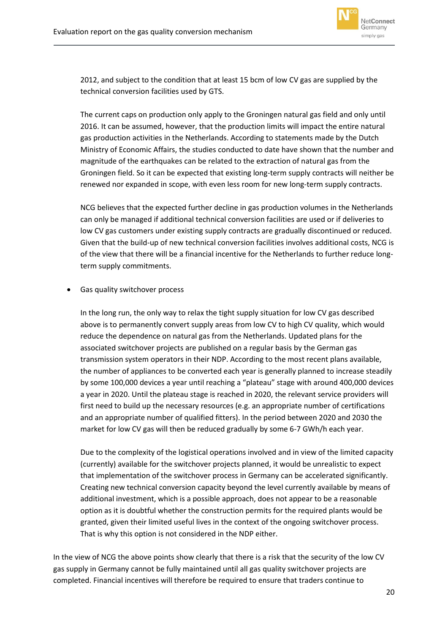

2012, and subject to the condition that at least 15 bcm of low CV gas are supplied by the technical conversion facilities used by GTS.

The current caps on production only apply to the Groningen natural gas field and only until 2016. It can be assumed, however, that the production limits will impact the entire natural gas production activities in the Netherlands. According to statements made by the Dutch Ministry of Economic Affairs, the studies conducted to date have shown that the number and magnitude of the earthquakes can be related to the extraction of natural gas from the Groningen field. So it can be expected that existing long-term supply contracts will neither be renewed nor expanded in scope, with even less room for new long-term supply contracts.

NCG believes that the expected further decline in gas production volumes in the Netherlands can only be managed if additional technical conversion facilities are used or if deliveries to low CV gas customers under existing supply contracts are gradually discontinued or reduced. Given that the build-up of new technical conversion facilities involves additional costs, NCG is of the view that there will be a financial incentive for the Netherlands to further reduce longterm supply commitments.

Gas quality switchover process

In the long run, the only way to relax the tight supply situation for low CV gas described above is to permanently convert supply areas from low CV to high CV quality, which would reduce the dependence on natural gas from the Netherlands. Updated plans for the associated switchover projects are published on a regular basis by the German gas transmission system operators in their NDP. According to the most recent plans available, the number of appliances to be converted each year is generally planned to increase steadily by some 100,000 devices a year until reaching a "plateau" stage with around 400,000 devices a year in 2020. Until the plateau stage is reached in 2020, the relevant service providers will first need to build up the necessary resources (e.g. an appropriate number of certifications and an appropriate number of qualified fitters). In the period between 2020 and 2030 the market for low CV gas will then be reduced gradually by some 6-7 GWh/h each year.

Due to the complexity of the logistical operations involved and in view of the limited capacity (currently) available for the switchover projects planned, it would be unrealistic to expect that implementation of the switchover process in Germany can be accelerated significantly. Creating new technical conversion capacity beyond the level currently available by means of additional investment, which is a possible approach, does not appear to be a reasonable option as it is doubtful whether the construction permits for the required plants would be granted, given their limited useful lives in the context of the ongoing switchover process. That is why this option is not considered in the NDP either.

In the view of NCG the above points show clearly that there is a risk that the security of the low CV gas supply in Germany cannot be fully maintained until all gas quality switchover projects are completed. Financial incentives will therefore be required to ensure that traders continue to